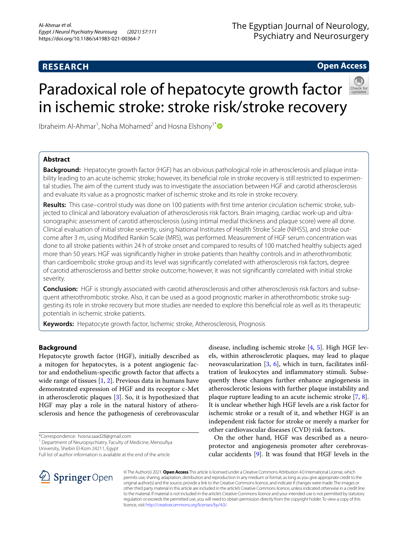## **RESEARCH**

## The Egyptian Journal of Neurology, Psychiatry and Neurosurgery

**Open Access**

# Paradoxical role of hepatocyte growth factor in ischemic stroke: stroke risk/stroke recovery

Ibraheim Al-Ahmar<sup>1</sup>, Noha Mohamed<sup>2</sup> and Hosna Elshony<sup>1[\\*](http://orcid.org/0000-0001-7078-4697)</sup>

## **Abstract**

**Background:** Hepatocyte growth factor (HGF) has an obvious pathological role in atherosclerosis and plaque insta‑ bility leading to an acute ischemic stroke; however, its beneficial role in stroke recovery is still restricted to experimental studies. The aim of the current study was to investigate the association between HGF and carotid atherosclerosis and evaluate its value as a prognostic marker of ischemic stroke and its role in stroke recovery.

**Results:** This case–control study was done on 100 patients with frst time anterior circulation ischemic stroke, sub‑ jected to clinical and laboratory evaluation of atherosclerosis risk factors. Brain imaging, cardiac work-up and ultrasonographic assessment of carotid atherosclerosis (using intimal medial thickness and plaque score) were all done. Clinical evaluation of initial stroke severity, using National Institutes of Health Stroke Scale (NIHSS), and stroke out‑ come after 3 m, using Modifed Rankin Scale (MRS), was performed. Measurement of HGF serum concentration was done to all stroke patients within 24 h of stroke onset and compared to results of 100 matched healthy subjects aged more than 50 years. HGF was signifcantly higher in stroke patients than healthy controls and in atherothrombotic than cardioembolic stroke group and its level was signifcantly correlated with atherosclerosis risk factors, degree of carotid atherosclerosis and better stroke outcome; however, it was not signifcantly correlated with initial stroke severity.

**Conclusion:** HGF is strongly associated with carotid atherosclerosis and other atherosclerosis risk factors and subsequent atherothrombotic stroke. Also, it can be used as a good prognostic marker in atherothrombotic stroke suggesting its role in stroke recovery but more studies are needed to explore this benefcial role as well as its therapeutic potentials in ischemic stroke patients.

**Keywords:** Hepatocyte growth factor, Ischemic stroke, Atherosclerosis, Prognosis

## **Background**

Hepatocyte growth factor (HGF), initially described as a mitogen for hepatocytes, is a potent angiogenic factor and endothelium-specifc growth factor that afects a wide range of tissues [[1,](#page-7-0) [2](#page-7-1)]. Previous data in humans have demonstrated expression of HGF and its receptor c-Met in atherosclerotic plaques [\[3](#page-7-2)]. So, it is hypothesized that HGF may play a role in the natural history of atherosclerosis and hence the pathogenesis of cerebrovascular

\*Correspondence: hosna.saad28@gmail.com

<sup>1</sup> Department of Neuropsychiatry, Faculty of Medicine, Menoufiya University, Shebin El‑Kom 24211, Egypt

disease, including ischemic stroke [\[4](#page-7-3), [5](#page-7-4)]. High HGF levels, within atherosclerotic plaques, may lead to plaque neovascularization  $[3, 6]$  $[3, 6]$  $[3, 6]$  $[3, 6]$  $[3, 6]$ , which in turn, facilitates infiltration of leukocytes and infammatory stimuli. Subsequently these changes further enhance angiogenesis in atherosclerotic lesions with further plaque instability and plaque rupture leading to an acute ischemic stroke [\[7](#page-7-6), [8](#page-7-7)]. It is unclear whether high HGF levels are a risk factor for ischemic stroke or a result of it, and whether HGF is an independent risk factor for stroke or merely a marker for other cardiovascular diseases (CVD) risk factors.

On the other hand, HGF was described as a neuroprotector and angiogenesis promoter after cerebrovascular accidents [[9\]](#page-7-8). It was found that HGF levels in the



© The Author(s) 2021. **Open Access** This article is licensed under a Creative Commons Attribution 4.0 International License, which permits use, sharing, adaptation, distribution and reproduction in any medium or format, as long as you give appropriate credit to the original author(s) and the source, provide a link to the Creative Commons licence, and indicate if changes were made. The images or other third party material in this article are included in the article's Creative Commons licence, unless indicated otherwise in a credit line to the material. If material is not included in the article's Creative Commons licence and your intended use is not permitted by statutory regulation or exceeds the permitted use, you will need to obtain permission directly from the copyright holder. To view a copy of this licence, visit [http://creativecommons.org/licenses/by/4.0/.](http://creativecommons.org/licenses/by/4.0/)

Full list of author information is available at the end of the article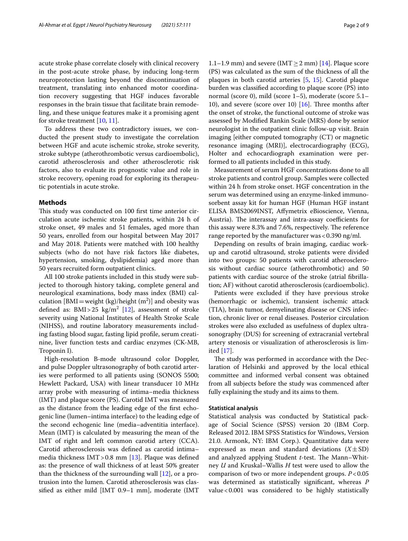acute stroke phase correlate closely with clinical recovery in the post-acute stroke phase, by inducing long-term neuroprotection lasting beyond the discontinuation of treatment, translating into enhanced motor coordination recovery suggesting that HGF induces favorable responses in the brain tissue that facilitate brain remodeling, and these unique features make it a promising agent for stroke treatment [\[10](#page-7-9), [11](#page-7-10)].

To address these two contradictory issues, we conducted the present study to investigate the correlation between HGF and acute ischemic stroke, stroke severity, stroke subtype (atherothrombotic versus cardioembolic), carotid atherosclerosis and other atherosclerotic risk factors, also to evaluate its prognostic value and role in stroke recovery, opening road for exploring its therapeutic potentials in acute stroke.

#### **Methods**

This study was conducted on 100 first time anterior circulation acute ischemic stroke patients, within 24 h of stroke onset, 49 males and 51 females, aged more than 50 years, enrolled from our hospital between May 2017 and May 2018. Patients were matched with 100 healthy subjects (who do not have risk factors like diabetes, hypertension, smoking, dyslipidemia) aged more than 50 years recruited form outpatient clinics.

All 100 stroke patients included in this study were subjected to thorough history taking, complete general and neurological examinations, body mass index (BMI) calculation  $[BMI=weight (kg)/height (m^2)]$  and obesity was defined as:  $BMI > 25$  kg/m<sup>2</sup> [[12](#page-7-11)], assessment of stroke severity using National Institutes of Health Stroke Scale (NIHSS), and routine laboratory measurements including fasting blood sugar, fasting lipid profle, serum creatinine, liver function tests and cardiac enzymes (CK-MB, Troponin I).

High-resolution B-mode ultrasound color Doppler, and pulse Doppler ultrasonography of both carotid arteries were performed to all patients using (SONOS 5500; Hewlett Packard, USA) with linear transducer 10 MHz array probe with measuring of intima–media thickness (IMT) and plaque score (PS). Carotid IMT was measured as the distance from the leading edge of the frst echogenic line (lumen–intima interface) to the leading edge of the second echogenic line (media–adventitia interface). Mean (IMT) is calculated by measuring the mean of the IMT of right and left common carotid artery (CCA). Carotid atherosclerosis was defned as carotid intima– media thickness IMT > 0.8 mm [[13\]](#page-7-12). Plaque was defined as: the presence of wall thickness of at least 50% greater than the thickness of the surrounding wall [\[12](#page-7-11)], or a protrusion into the lumen. Carotid atherosclerosis was classifed as either mild [IMT 0.9–1 mm], moderate (IMT

1.1–1.9 mm) and severe (IMT  $\geq$  2 mm) [\[14](#page-7-13)]. Plaque score (PS) was calculated as the sum of the thickness of all the plaques in both carotid arteries [[5,](#page-7-4) [15\]](#page-7-14). Carotid plaque burden was classifed according to plaque score (PS) into normal (score 0), mild (score 1–5), moderate (score 5.1– 10), and severe (score over 10)  $[16]$  $[16]$  $[16]$ . Three months after the onset of stroke, the functional outcome of stroke was assessed by Modifed Rankin Scale (MRS) done by senior neurologist in the outpatient clinic follow-up visit. Brain imaging [either computed tomography (CT) or magnetic resonance imaging (MRI)], electrocardiography (ECG), Holter and echocardiograph examination were performed to all patients included in this study.

Measurement of serum HGF concentrations done to all stroke patients and control group. Samples were collected within 24 h from stroke onset. HGF concentration in the serum was determined using an enzyme-linked immunosorbent assay kit for human HGF (Human HGF instant ELISA BMS2069INST, Afymetrix eBioscience, Vienna, Austria). The interassay and intra-assay coefficients for this assay were 8.3% and 7.6%, respectively. The reference range reported by the manufacturer was  $< 0.390$  ng/ml.

Depending on results of brain imaging, cardiac workup and carotid ultrasound, stroke patients were divided into two groups: 50 patients with carotid atherosclerosis without cardiac source (atherothrombotic) and 50 patients with cardiac source of the stroke (atrial fbrillation; AF) without carotid atherosclerosis (cardioembolic).

Patients were excluded if they have previous stroke (hemorrhagic or ischemic), transient ischemic attack (TIA), brain tumor, demyelinating disease or CNS infection, chronic liver or renal diseases. Posterior circulation strokes were also excluded as usefulness of duplex ultrasonography (DUS) for screening of extracranial vertebral artery stenosis or visualization of atherosclerosis is limited [[17\]](#page-7-16).

The study was performed in accordance with the Declaration of Helsinki and approved by the local ethical committee and informed verbal consent was obtained from all subjects before the study was commenced after fully explaining the study and its aims to them.

#### **Statistical analysis**

Statistical analysis was conducted by Statistical package of Social Science (SPSS) version 20 (IBM Corp. Released 2012. IBM SPSS Statistics for Windows, Version 21.0. Armonk, NY: IBM Corp.). Quantitative data were expressed as mean and standard deviations  $(X \pm SD)$ and analyzed applying Student *t*-test. The Mann–Whitney *U* and Kruskal–Wallis *H* test were used to allow the comparison of two or more independent groups. *P*<0.05 was determined as statistically signifcant, whereas *P* value<0.001 was considered to be highly statistically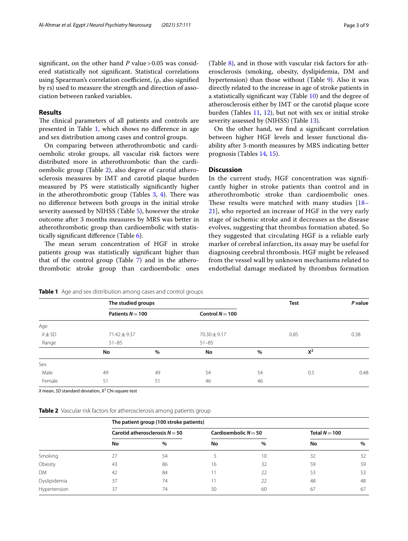significant, on the other hand  $P$  value > 0.05 was considered statistically not signifcant. Statistical correlations using Spearman's correlation coefficient, (ρ, also signified by rs) used to measure the strength and direction of association between ranked variables.

## **Results**

The clinical parameters of all patients and controls are presented in Table [1](#page-2-0), which shows no diference in age and sex distribution among cases and control groups.

On comparing between atherothrombotic and cardioembolic stroke groups, all vascular risk factors were distributed more in atherothrombotic than the cardioembolic group (Table [2\)](#page-2-1), also degree of carotid atherosclerosis measures by IMT and carotid plaque burden measured by PS were statistically signifcantly higher in the atherothrombotic group (Tables  $3, 4$  $3, 4$ ). There was no diference between both groups in the initial stroke severity assessed by NIHSS (Table [5](#page-3-2)), however the stroke outcome after 3 months measures by MRS was better in atherothrombotic group than cardioembolic with statistically signifcant diference (Table [6\)](#page-4-0).

The mean serum concentration of HGF in stroke patients group was statistically signifcant higher than that of the control group (Table [7](#page-4-1)) and in the atherothrombotic stroke group than cardioembolic ones (Table [8](#page-4-2)), and in those with vascular risk factors for atherosclerosis (smoking, obesity, dyslipidemia, DM and hypertension) than those without (Table [9\)](#page-4-3). Also it was directly related to the increase in age of stroke patients in a statistically signifcant way (Table [10](#page-4-4)) and the degree of atherosclerosis either by IMT or the carotid plaque score burden (Tables [11,](#page-5-0) [12\)](#page-5-1), but not with sex or initial stroke severity assessed by (NIHSS) (Table [13](#page-5-2)).

On the other hand, we fnd a signifcant correlation between higher HGF levels and lesser functional disability after 3-month measures by MRS indicating better prognosis (Tables [14,](#page-5-3) [15\)](#page-5-4).

### **Discussion**

In the current study, HGF concentration was signifcantly higher in stroke patients than control and in atherothrombotic stroke than cardioembolic ones. These results were matched with many studies  $[18-$ [21\]](#page-7-18), who reported an increase of HGF in the very early stage of ischemic stroke and it decreases as the disease evolves, suggesting that thrombus formation abated. So they suggested that circulating HGF is a reliable early marker of cerebral infarction, its assay may be useful for diagnosing cerebral thrombosis. HGF might be released from the vessel wall by unknown mechanisms related to endothelial damage mediated by thrombus formation

|            |                    | The studied groups |                   |    | <b>Test</b> | P value |
|------------|--------------------|--------------------|-------------------|----|-------------|---------|
|            | Patients $N = 100$ |                    | Control $N = 100$ |    |             |         |
| Age        |                    |                    |                   |    |             |         |
| $X \pm SD$ | 71.42 ± 9.37       |                    | $70.30 \pm 9.17$  |    | 0.85        | 0.38    |
| Range      | $51 - 85$          |                    | $51 - 85$         |    |             |         |
|            | No                 | $\%$               | No                | %  | $X^2$       |         |
| Sex        |                    |                    |                   |    |             |         |
| Male       | 49                 | 49                 | 54                | 54 | 0.5         | 0.48    |
| Female     | 51                 | 51                 | 46                | 46 |             |         |

<span id="page-2-0"></span>**Table 1** Age and sex distribution among cases and control groups

X mean, *SD* standard deviation, X<sup>2</sup> Chi-square test

<span id="page-2-1"></span>

|  |  |  |  |  | Table 2 Vascular risk factors for atherosclerosis among patients group |  |
|--|--|--|--|--|------------------------------------------------------------------------|--|
|--|--|--|--|--|------------------------------------------------------------------------|--|

|              | The patient group (100 stroke patients) |      |                        |      |                 |      |  |  |  |
|--------------|-----------------------------------------|------|------------------------|------|-----------------|------|--|--|--|
|              | Carotid atherosclerosis $N = 50$        |      | Cardioembolic $N = 50$ |      | Total $N = 100$ |      |  |  |  |
|              | No                                      | $\%$ | No                     | $\%$ | No              | $\%$ |  |  |  |
| Smoking      | 27                                      | 54   |                        | 10   | 32              | 32   |  |  |  |
| Obesity      | 43                                      | 86   | 16                     | 32   | 59              | 59   |  |  |  |
| <b>DM</b>    | 42                                      | 84   |                        | 22   | 53              | 53   |  |  |  |
| Dyslipidemia | 37                                      | 74   |                        | 22   | 48              | 48   |  |  |  |
| Hypertension | 37                                      | 74   | 30                     | 60   | 67              | 67   |  |  |  |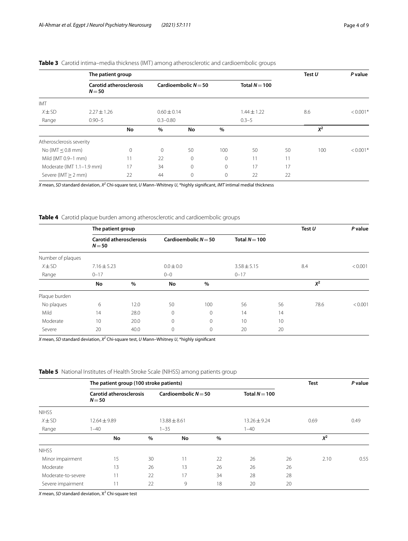|                           | The patient group |                                |                        |              |               |                 |    | Test $U$ | P value    |
|---------------------------|-------------------|--------------------------------|------------------------|--------------|---------------|-----------------|----|----------|------------|
|                           | $N = 50$          | <b>Carotid atherosclerosis</b> | Cardioembolic $N = 50$ |              | Total $N=100$ |                 |    |          |            |
| <b>IMT</b>                |                   |                                |                        |              |               |                 |    |          |            |
| $X \pm SD$                | $2.27 \pm 1.26$   |                                | $0.60 \pm 0.14$        |              |               | $1.44 \pm 1.22$ |    | 8.6      | $< 0.001*$ |
| Range                     | $0.90 - 5$        |                                | $0.3 - 0.80$           |              |               | $0.3 - 5$       |    |          |            |
|                           |                   | No                             | $\%$                   | No           | $\%$          |                 |    | $X^2$    |            |
| Atherosclerosis severity  |                   |                                |                        |              |               |                 |    |          |            |
| No (IMT $\leq$ 0.8 mm)    |                   | $\overline{0}$                 | $\Omega$               | 50           | 100           | 50              | 50 | 100      | $< 0.001*$ |
| Mild (IMT 0.9-1 mm)       |                   | 11                             | 22                     | $\mathbf{0}$ | $\mathbf{0}$  | 11              | 11 |          |            |
| Moderate (IMT 1.1-1.9 mm) |                   | 17                             | 34                     | $\mathbf{0}$ | $\mathbf{0}$  | 17              | 17 |          |            |
| Severe (IMT > 2 mm)       |                   | 22                             | 44                     | $\mathbf{0}$ | 0             | 22              | 22 |          |            |

## <span id="page-3-0"></span>**Table 3** Carotid intima–media thickness (IMT) among atherosclerotic and cardioembolic groups

*X* mean, *SD* standard deviation, *X2* Chi-square test, *U* Mann–Whitney *U*, \*highly signifcant, *IMT* intimal medial thickness

<span id="page-3-1"></span>**Table 4** Carotid plaque burden among atherosclerotic and cardioembolic groups

|                   | The patient group |                                |               |                                           |                 |    | Test $U$ | P value |
|-------------------|-------------------|--------------------------------|---------------|-------------------------------------------|-----------------|----|----------|---------|
|                   | $N = 50$          | <b>Carotid atherosclerosis</b> |               | Cardioembolic $N = 50$<br>Total $N = 100$ |                 |    |          |         |
| Number of plaques |                   |                                |               |                                           |                 |    |          |         |
| $X \pm SD$        | $7.16 \pm 5.23$   |                                | $0.0 \pm 0.0$ |                                           | $3.58 \pm 5.15$ |    | 8.4      | < 0.001 |
| Range             | $0 - 17$          |                                | $0 - 0$       |                                           | $0 - 17$        |    |          |         |
|                   | No                | $\%$                           | No            | $\%$                                      |                 |    | $X^2$    |         |
| Plaque burden     |                   |                                |               |                                           |                 |    |          |         |
| No plaques        | 6                 | 12.0                           | 50            | 100                                       | 56              | 56 | 78.6     | < 0.001 |
| Mild              | 14                | 28.0                           | 0             | 0                                         | 14              | 14 |          |         |
| Moderate          | 10                | 20.0                           | 0             | $\circ$                                   | 10              | 10 |          |         |
| Severe            | 20                | 40.0                           | $\mathbf 0$   | 0                                         | 20              | 20 |          |         |

*X* mean, *SD* standard deviation, *X2* Chi-square test, *U* Mann–Whitney *U*, \*highly signifcant

<span id="page-3-2"></span>**Table 5** National Institutes of Health Stroke Scale (NIHSS) among patients group

|                    | The patient group (100 stroke patients)    |      |                        |      | <b>Test</b>      | P value |       |      |
|--------------------|--------------------------------------------|------|------------------------|------|------------------|---------|-------|------|
|                    | <b>Carotid atherosclerosis</b><br>$N = 50$ |      | Cardioembolic $N = 50$ |      | Total $N=100$    |         |       |      |
| <b>NIHSS</b>       |                                            |      |                        |      |                  |         |       |      |
| $X \pm SD$         | $12.64 \pm 9.89$                           |      | $13.88 \pm 8.61$       |      | $13.26 \pm 9.24$ |         | 0.69  | 0.49 |
| Range              | $1 - 40$                                   |      | $1 - 35$               |      | $1 - 40$         |         |       |      |
|                    | No                                         | $\%$ | No                     | $\%$ |                  |         | $X^2$ |      |
| <b>NIHSS</b>       |                                            |      |                        |      |                  |         |       |      |
| Minor impairment   | 15                                         | 30   | 11                     | 22   | 26               | 26      | 2.10  | 0.55 |
| Moderate           | 13                                         | 26   | 13                     | 26   | 26               | 26      |       |      |
| Moderate-to-severe | 11                                         | 22   | 17                     | 34   | 28               | 28      |       |      |
| Severe impairment  | 11                                         | 22   | 9                      | 18   | 20               | 20      |       |      |

X mean, *SD* standard deviation, X<sup>2</sup> Chi-square test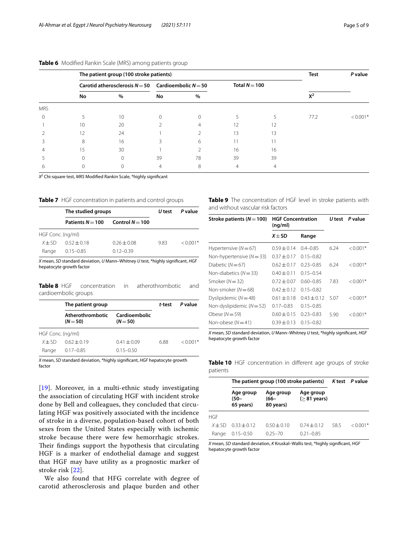|            |                  | The patient group (100 stroke patients)                 |          | Test           | P value       |    |                       |            |
|------------|------------------|---------------------------------------------------------|----------|----------------|---------------|----|-----------------------|------------|
|            |                  | Carotid atherosclerosis $N = 50$ Cardioembolic $N = 50$ |          |                | Total $N=100$ |    |                       |            |
|            | No               | %                                                       | No       | $\%$           |               |    | $v^2$<br>$\mathbf{v}$ |            |
| <b>MRS</b> |                  |                                                         |          |                |               |    |                       |            |
|            |                  | 10                                                      | $\Omega$ | 0              |               |    | 77.2                  | $< 0.001*$ |
|            | 10               | 20                                                      |          | $\overline{4}$ | 12            | 12 |                       |            |
|            | 12               | 24                                                      |          |                | 13            | 13 |                       |            |
|            | 8                | 16                                                      |          | 6              |               |    |                       |            |
|            | 15 <sup>15</sup> | 30                                                      |          |                | 16            | 16 |                       |            |
|            | $\Omega$         | $\Omega$                                                | 39       | 78             | 39            | 39 |                       |            |
| n          |                  |                                                         | 4        | 8              | 4             | 4  |                       |            |

#### <span id="page-4-0"></span>**Table 6** Modifed Rankin Scale (MRS) among patients group

*X2* Chi-square test, *MRS* Modifed Rankin Scale, \*highly signifcant

<span id="page-4-1"></span>**Table 7** HGF concentration in patients and control groups

|                   | The studied groups | lJ test         | P value |            |
|-------------------|--------------------|-----------------|---------|------------|
|                   | Patients $N = 100$ | Control $N=100$ |         |            |
| HGF Conc. (ng/ml) |                    |                 |         |            |
| $X + SD$          | $052 + 018$        | $0.26 \pm 0.08$ | 983     | $< 0.001*$ |
| Range             | $0.15 - 0.85$      | $0.12 - 0.39$   |         |            |

*X* mean, *SD* standard deviation, *U* Mann–Whitney *U* test, \*highly signifcant, *HGF* hepatocyte growth factor

<span id="page-4-2"></span>**Table 8** HGF concentration in atherothrombotic and cardioembolic groups

|                   | The patient group              | t-test                      | P value |            |
|-------------------|--------------------------------|-----------------------------|---------|------------|
|                   | Atherothrombotic<br>$(N = 50)$ | Cardioembolic<br>$(N = 50)$ |         |            |
| HGF Conc. (ng/ml) |                                |                             |         |            |
| $X + SD$          | $062 + 019$                    | $0.41 \pm 0.09$             | 6.88    | $< 0.001*$ |
| Range             | $0.17 - 0.85$                  | $0.15 - 0.50$               |         |            |

*X* mean, *SD* standard deviation, \*highly signifcant, *HGF* hepatocyte growth factor

[[19](#page-7-19)]. Moreover, in a multi-ethnic study investigating the association of circulating HGF with incident stroke done by Bell and colleagues, they concluded that circulating HGF was positively associated with the incidence of stroke in a diverse, population-based cohort of both sexes from the United States especially with ischemic stroke because there were few hemorrhagic strokes. Their findings support the hypothesis that circulating HGF is a marker of endothelial damage and suggest that HGF may have utility as a prognostic marker of stroke risk [[22\]](#page-7-20).

We also found that HFG correlate with degree of carotid atherosclerosis and plaque burden and other <span id="page-4-3"></span>**Table 9** The concentration of HGF level in stroke patients with and without vascular risk factors

| Stroke patients ( $N = 100$ ) | <b>HGF Concentration</b><br>(nq/ml) |               | lJ test | P value    |
|-------------------------------|-------------------------------------|---------------|---------|------------|
|                               | $X + SD$                            | Range         |         |            |
| Hypertensive ( $N = 67$ )     | $0.59 + 0.14$                       | $0.4 - 0.85$  | 6.24    | $< 0.001*$ |
| Non-hypertensive $(N = 33)$   | $0.37 + 0.17$                       | $0.15 - 0.82$ |         |            |
| Diabetic $(N=67)$             | $0.62 \pm 0.17$                     | $0.23 - 0.85$ | 6.24    | $< 0.001*$ |
| Non-diabetics $(N = 33)$      | $0.40 \pm 0.11$                     | $0.15 - 0.54$ |         |            |
| Smoker $(N=32)$               | $0.72 \pm 0.07$                     | $0.60 - 0.85$ | 7.83    | $< 0.001*$ |
| Non-smoker $(N=68)$           | $0.42 \pm 0.12$                     | $0.15 - 0.82$ |         |            |
| Dyslipidemic $(N=48)$         | $0.61 \pm 0.18$                     | $0.43 + 0.12$ | 5.07    | $< 0.001*$ |
| Non-dyslipidemic $(N=52)$     | $0.17 - 0.83$                       | $0.15 - 0.85$ |         |            |
| Obese $(N=59)$                | $0.60 + 0.15$                       | $0.23 - 0.83$ | 5.90    | $< 0.001*$ |
| Non-obese $(N=41)$            | $0.39 + 0.13$                       | $0.15 - 0.82$ |         |            |

*X* mean, *SD* standard deviation, *U* Mann–Whitney *U* test, \*highly signifcant, *HGF* hepatocyte growth factor

<span id="page-4-4"></span>**Table 10** HGF concentration in diferent age groups of stroke patients

|                   | The patient group (100 stroke patients) |                                | K test P value                   |     |            |
|-------------------|-----------------------------------------|--------------------------------|----------------------------------|-----|------------|
|                   | Age group<br>(50–<br>65 years)          | Age group<br>(66–<br>80 years) | Age group<br>$($ > 81 years)     |     |            |
| HGF               |                                         |                                |                                  |     |            |
| $X + SD$<br>Range | $033 + 012$<br>$0.15 - 0.50$            | $0.50 + 0.10$<br>$0.25 - 70$   | $0.74 \pm 0.12$<br>$0.21 - 0.85$ | 585 | $< 0.001*$ |

*X* mean, *SD* standard deviation, *K* Kruskal–Wallis test, \*highly signifcant, *HGF* hepatocyte growth factor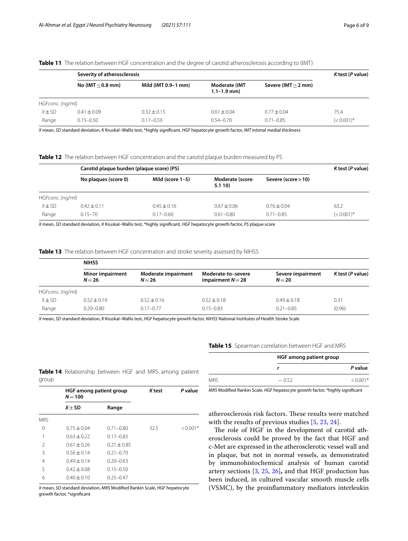|                  |                     | Severity of atherosclerosis                                                                                                           |                                         |                       |               |  |  |  |
|------------------|---------------------|---------------------------------------------------------------------------------------------------------------------------------------|-----------------------------------------|-----------------------|---------------|--|--|--|
|                  | No (IMT $<$ 0.8 mm) | Mild (IMT 0.9-1 mm)                                                                                                                   | <b>Moderate (IMT</b><br>$1.1 - 1.9$ mm) | Severe (IMT $>$ 2 mm) |               |  |  |  |
| HGFconc. (ng/ml) |                     |                                                                                                                                       |                                         |                       |               |  |  |  |
| $X \pm SD$       | $0.41 \pm 0.09$     | $0.32 \pm 0.15$                                                                                                                       | $0.61 \pm 0.04$                         | $0.77 + 0.04$         | 75.4          |  |  |  |
| Range            | $0.15 - 0.50$       | $0.17 - 0.59$                                                                                                                         | $0.54 - 0.70$                           | $0.71 - 0.85$         | $(< 0.001)$ * |  |  |  |
|                  |                     | X mean, SD standard deviation, K Kruskal–Wallis test, *highly significant, HGF hepatocyte growth factor, IMT intimal medial thickness |                                         |                       |               |  |  |  |

<span id="page-5-0"></span>**Table 11** The relation between HGF concentration and the degree of carotid atherosclerosis according to (IMT)

<span id="page-5-1"></span>**Table 12** The relation between HGF concentration and the carotid plaque burden measured by PS

|                  | Carotid plaque burden (plaque score) (PS) |                     |                          |                     | K test (P value) |
|------------------|-------------------------------------------|---------------------|--------------------------|---------------------|------------------|
|                  | No plaques (score 0)                      | Mild (score $1-5$ ) | Moderate (score<br>5.110 | Severe (score > 10) |                  |
| HGFconc. (ng/ml) |                                           |                     |                          |                     |                  |
| $X \pm SD$       | $0.42 \pm 0.11$                           | $0.45 \pm 0.16$     | $0.67 + 0.06$            | $0.76 \pm 0.04$     | 63.2             |
| Range            | $0.15 - 70$                               | $0.17 - 0.60$       | $0.61 - 0.80$            | $0.71 - 0.85$       | $(< 0.001)$ *    |

*X* mean, *SD* standard deviation, *K* Kruskal–Wallis test, \*highly signifcant, *HGF* hepatocyte growth factor, *PS* plaque score

<span id="page-5-2"></span>**Table 13** The relation between HGF concentration and stroke severity assessed by NIHSS

|                  | <b>NIHSS</b>                      |                               |                                         |                             |                       |  |
|------------------|-----------------------------------|-------------------------------|-----------------------------------------|-----------------------------|-----------------------|--|
|                  | <b>Minor impairment</b><br>$N=26$ | Moderate impairment<br>$N=26$ | Moderate-to-severe<br>impairment $N=28$ | Severe impairment<br>$N=20$ | $K$ test ( $P$ value) |  |
| HGFconc. (ng/ml) |                                   |                               |                                         |                             |                       |  |
| $X \pm SD$       | $0.52 \pm 0.19$                   | $0.52 \pm 0.16$               | $0.52 \pm 0.18$                         | $0.49 + 0.18$               | 0.31                  |  |
| Range            | $0.20 - 0.80$                     | $0.17 - 0.77$                 | $0.15 - 0.83$                           | $0.21 - 0.85$               | (0.96)                |  |

*X* mean, *SD* standard deviation, *K* Kruskal–Wallis test, *HGF* hepatocyte growth factor, *NIHSS* National Institutes of Health Stroke Scale

<span id="page-5-3"></span>

|       | <b>Table 14</b> Relationship between HGF and MRS among patient |  |  |  |
|-------|----------------------------------------------------------------|--|--|--|
| group |                                                                |  |  |  |

|               | HGF among patient group<br>$N = 100$ |                 | K test | P value  |  |
|---------------|--------------------------------------|-----------------|--------|----------|--|
|               | $X + SD$                             | Range           |        |          |  |
| <b>MRS</b>    |                                      |                 |        |          |  |
| 0             | $0.75 \pm 0.04$                      | $0.71 - 0.80$   | 32.5   | $0.001*$ |  |
|               | $0.63 + 0.22$                        | $0.17 - 0.83$   |        |          |  |
| $\mathcal{P}$ | $0.61 \pm 0.26$                      | $0.21 \pm 0.85$ |        |          |  |
| 3             | $0.56 + 0.14$                        | $0.21 - 0.70$   |        |          |  |
| 4             | $0.49 + 0.14$                        | $0.20 - 0.63$   |        |          |  |
| 5             | $0.42 \pm 0.08$                      | $0.15 - 0.50$   |        |          |  |
| 6             | $0.40 \pm 0.10$                      | $0.25 - 0.47$   |        |          |  |

*X* mean, *SD* standard deviation, *MRS* Modifed Rankin Scale, *HGF* hepatocyte growth factor, \*signifcant

<span id="page-5-4"></span>**Table 15** Spearman correlation between HGF and MRS

|            | HGF among patient group |            |  |
|------------|-------------------------|------------|--|
|            |                         | P value    |  |
| <b>MRS</b> | $-0.52$                 | $< 0.001*$ |  |

*MRS* Modifed Rankin Scale, *HGF* hepatocyte growth factor, \*highly signifcant

atherosclerosis risk factors. These results were matched with the results of previous studies [\[5](#page-7-4), [23](#page-8-0), [24](#page-8-1)].

The role of HGF in the development of carotid atherosclerosis could be proved by the fact that HGF and c-Met are expressed in the atherosclerotic vessel wall and in plaque, but not in normal vessels, as demonstrated by immunohistochemical analysis of human carotid artery sections [[3,](#page-7-2) [25,](#page-8-2) [26\]](#page-8-3)**,** and that HGF production has been induced, in cultured vascular smooth muscle cells (VSMC), by the proinfammatory mediators interleukin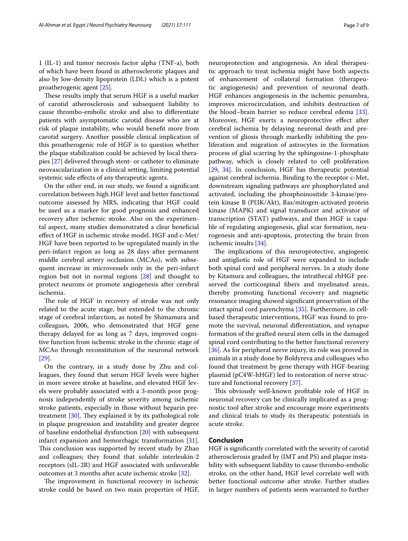1 (IL-1) and tumor necrosis factor alpha (TNF-a), both of which have been found in atherosclerotic plaques and also by low-density lipoprotein (LDL) which is a potent proatherogenic agent [[25\]](#page-8-2).

These results imply that serum HGF is a useful marker of carotid atherosclerosis and subsequent liability to cause thrombo-embolic stroke and also to diferentiate patients with asymptomatic carotid disease who are at risk of plaque instability, who would beneft more from carotid surgery. Another possible clinical implication of this proatherogenic role of HGF is to question whether the plaque stabilization could be achieved by local therapies [[27](#page-8-4)] delivered through stent- or catheter to eliminate neovascularization in a clinical setting, limiting potential systemic side efects of any therapeutic agents.

On the other end, in our study, we found a signifcant correlation between high HGF level and better functional outcome assessed by MRS, indicating that HGF could be used as a marker for good prognosis and enhanced recovery after ischemic stroke. Also on the experimental aspect, many studies demonstrated a clear benefcial efect of HGF in ischemic stroke model. HGF and c-Met/ HGF have been reported to be upregulated mainly in the peri-infarct region as long as 28 days after permanent middle cerebral artery occlusion (MCAo), with subsequent increase in microvessels only in the peri-infarct region but not in normal regions [\[28](#page-8-5)] and thought to protect neurons or promote angiogenesis after cerebral ischemia.

The role of HGF in recovery of stroke was not only related to the acute stage, but extended to the chronic stage of cerebral infarction, as noted by Shimamura and colleagues, 2006, who demonstrated that HGF gene therapy delayed for as long as 7 days, improved cognitive function from ischemic stroke in the chronic stage of MCAo through reconstitution of the neuronal network [[29\]](#page-8-6).

On the contrary, in a study done by Zhu and colleagues, they found that serum HGF levels were higher in more severe stroke at baseline, and elevated HGF levels were probably associated with a 3-month poor prognosis independently of stroke severity among ischemic stroke patients, especially in those without heparin pretreatment  $[30]$  $[30]$ . They explained it by its pathological role in plaque progression and instability and greater degree of baseline endothelial dysfunction [[20\]](#page-7-21) with subsequent infarct expansion and hemorrhagic transformation [\[31](#page-8-8)]. This conclusion was supported by recent study by Zhao and colleagues; they found that soluble interleukin-2 receptors (sIL-2R) and HGF associated with unfavorable outcomes at 3 months after acute ischemic stroke [[32\]](#page-8-9).

The improvement in functional recovery in ischemic stroke could be based on two main properties of HGF, neuroprotection and angiogenesis. An ideal therapeutic approach to treat ischemia might have both aspects of enhancement of collateral formation (therapeutic angiogenesis) and prevention of neuronal death. HGF enhances angiogenesis in the ischemic penumbra, improves microcirculation, and inhibits destruction of the blood–brain barrier so reduce cerebral edema [\[33](#page-8-10)]. Moreover, HGF exerts a neuroprotective efect after cerebral ischemia by delaying neuronal death and prevention of gliosis through markedly inhibiting the proliferation and migration of astrocytes in the formation process of glial scarring by the sphingosine-1-phosphate pathway, which is closely related to cell proliferation [[29,](#page-8-6) [34](#page-8-11)]. In conclusion, HGF has therapeutic potential against cerebral ischemia. Binding to the receptor c-Met, downstream signaling pathways are phosphorylated and activated, including the phosphoinositide 3-kinase/protein kinase B (PI3K/Akt), Ras/mitogen-activated protein kinase (MAPK) and signal transducer and activator of transcription (STAT) pathways, and then HGF is capable of regulating angiogenesis, glial scar formation, neurogenesis and anti-apoptosis, protecting the brain from ischemic insults [[34](#page-8-11)].

The implications of this neuroprotective, angiogenic and antigliotic role of HGF were expanded to include both spinal cord and peripheral nerves. In a study done by Kitamura and colleagues, the intrathecal rhHGF preserved the corticospinal fbers and myelinated areas, thereby promoting functional recovery and magnetic resonance imaging showed signifcant preservation of the intact spinal cord parenchyma [\[35\]](#page-8-12). Furthermore, in cellbased therapeutic interventions, HGF was found to promote the survival, neuronal diferentiation, and synapse formation of the grafted neural stem cells in the damaged spinal cord contributing to the better functional recovery [[36\]](#page-8-13). As for peripheral nerve injury, its role was proved in animals in a study done by Boldyreva and colleagues who found that treatment by gene therapy with HGF-bearing plasmid (pC4W-hHGF) led to restoration of nerve structure and functional recovery [\[37](#page-8-14)].

This obviously well-known profitable role of HGF in neuronal recovery can be clinically implicated as a prognostic tool after stroke and encourage more experiments and clinical trials to study its therapeutic potentials in acute stroke.

#### **Conclusion**

HGF is signifcantly correlated with the severity of carotid atherosclerosis graded by (IMT and PS) and plaque instability with subsequent liability to cause thrombo-embolic stroke, on the other hand, HGF level correlate well with better functional outcome after stroke. Further studies in larger numbers of patients seem warranted to further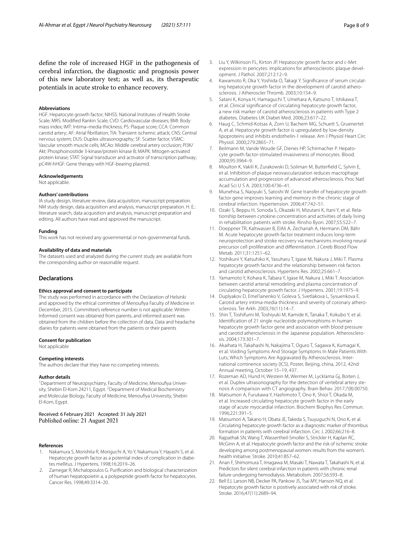defne the role of increased HGF in the pathogenesis of cerebral infarction, the diagnostic and prognosis power of this new laboratory test; as well as, its therapeutic potentials in acute stroke to enhance recovery.

#### **Abbreviations**

HGF: Hepatocyte growth factor; NIHSS: National Institutes of Health Stroke Scale; MRS: Modifed Rankin Scale; CVD: Cardiovascular diseases; BMI: Body mass index; IMT: Intima–media thickness; PS: Plaque score; CCA: Common carotid artery; AF: Atrial fbrillation; TIA: Transient ischemic attack; CNS: Central nervous system; DUS: Duplex ultrasonography; SF: Scatter factor; VSMC: Vascular smooth muscle cells; MCAo: Middle cerebral artery occlusion; PI3K/ Akt: Phosphoinositide 3-kinase/protein kinase B; MAPK: Mitogen-activated protein kinase; STAT: Signal transducer and activator of transcription pathway; pC4W-hHGF: Gene therapy with HGF-bearing plasmid.

#### **Acknowledgements**

Not applicable.

#### **Authors' contributions**

IA study design, literature review, data acquisition, manuscript preparation. NM study design, data acquisition and analysis, manuscript preparation. H. E.: literature search, data acquisition and analysis, manuscript preparation and editing. All authors have read and approved the manuscript.

#### **Funding**

This work has not received any governmental or non-governmental funds.

#### **Availability of data and materials**

The datasets used and analyzed during the current study are available from the corresponding author on reasonable request.

#### **Declarations**

#### **Ethics approval and consent to participate**

The study was performed in accordance with the Declaration of Helsinki and approved by the ethical committee of Menoufya Faculty of Medicine in December, 2015. Committee's reference number is not applicable. Written Informed consent was obtained from parents, and informed assent was obtained from the children before the collection of data. Data and headache diaries for patients were obtained from the patients or their parents

#### **Consent for publication**

Not applicable

#### **Competing interests**

The authors declare that they have no competing interests.

#### **Author details**

<sup>1</sup> Department of Neuropsychiatry, Faculty of Medicine, Menoufiya University, Shebin El-Kom 24211, Egypt. <sup>2</sup> Department of Medical Biochemistry and Molecular Biology, Faculty of Medicine, Menoufya University, Shebin El‑Kom, Egypt.

# Received: 6 February 2021 Accepted: 31 July 2021<br>Published online: 21 August 2021

#### **References**

- <span id="page-7-0"></span>1. Nakamura S, Morishita R, Moriguchi A, Yo Y, Nakamura Y, Hayashi S, et al. Hepatocyte growth factor as a potential index of complication in diabetes mellitus. J Hypertens. 1998;16:2019–26.
- <span id="page-7-1"></span>2. Zarnegar R, Michalopoulos G. Purifcation and biological characterization of human hepatopoietin a, a polypeptide growth factor for hepatocytes. Cancer Res. 1998;49:3314–20.
- <span id="page-7-3"></span><span id="page-7-2"></span>4. Kawamoto R, Oka Y, Yoshida O, Takagi Y. Significance of serum circulating hepatocyte growth factor in the development of carotid atherosclerosis. J Atheroscler Thromb. 2003;10:154–9.
- <span id="page-7-4"></span>5. Satani K, Konya H, Hamaguchi T, Umehara A, Katsuno T, Ishikawa T, et al. Clinical signifcance of circulating hepatocyte growth factor, a new risk marker of carotid atherosclerosis in patients with Type 2 diabetes. Diabetes UK Diabet Med. 2006;23:617–22.
- <span id="page-7-5"></span>6. Haug C, Schmid-Kotsas A, Zorn U, Bachem MG, Schuett S, Gruenertet A, et al. Hepatocyte growth factor is upregulated by low-density lipoproteins and inhibits endothelin-1 release. Am J Physiol Heart Circ Physiol. 2000;279:2865–71.
- <span id="page-7-6"></span>7. Beilmann M, Vande Woude GF, Dienes HP, Schirmacher P. Hepatocyte growth factor-stimulated invasiveness of monocytes. Blood. 2000;95:3964–9.
- <span id="page-7-7"></span>8. Moulton K, Vakili K, Zurakowski D, Soliman M, Butterfeld C, Sylvin E, et al. Inhibition of plaque neovascularization reduces macrophage accumulation and progression of advanced atherosclerosis. Proc Natl Acad Sci U S A. 2003;100:4736–41.
- <span id="page-7-8"></span>9. Munehisa S, Naoyuki S, Satoshi W. Gene transfer of hepatocyte growth factor gene improves learning and memory in the chronic stage of cerebral infarction. Hypertension. 2006;47:742–51.
- <span id="page-7-9"></span>10. Ozaki S, Beppu H, Sonoda S, Okazaki H, Mizutani K, Itani Y, et al. Relationship between cytokine concentration and activities of daily living in rehabilitation patients with stroke. Rinsho Byori. 2007;55:522–7.
- <span id="page-7-10"></span>11. Doeppner TR, Kaltwasser B, ElAli A, Zechariah A, Hermann DM, Bähr M. Acute hepatocyte growth factor treatment induces long-term neuroprotection and stroke recovery via mechanisms involving neural precursor cell proliferation and diferentiation. J Cereb Blood Flow Metab. 2011;31:1251–62.
- <span id="page-7-11"></span>12. Yoshikuni Y, Katsuhiko K, Yasuharu T, Igase M, Nakura J, Miki T. Plasma hepatocyte growth factor and the relationship between risk factors and carotid atherosclerosis. Hypertens Res. 2002;25:661–7.
- <span id="page-7-12"></span>13. Yamamoto Y, Kohara K, Tabara Y, Igase M, Nakura J, Miki T. Association between carotid arterial remodeling and plasma concentration of circulating hepatocyte growth factor. J Hypertens. 2001;19:1975–9.
- <span id="page-7-13"></span>14. Duplyakov D, Emel'ianenko V, Goleva S, Svetlakova L, Sysuenkova E. Carotid artery intima-media thickness and severity of coronary atherosclerosis. Ter Arkh. 2003;76(11):14–7.
- <span id="page-7-14"></span>15. Shin T, Toshifumi M, Toshiyuki M, Kamide K, Tanaka T, Kokubo Y, et al. Identifcation of 21 single nucleotide polymorphisms in human hepatocyte growth factor gene and association with blood pressure and carotid atherosclerosis in the Japanese population. Atherosclerosis. 2004;173:301–7.
- <span id="page-7-15"></span>16. Akaihata H, Takahashi N, Nakajima T, Oguro T, Sagawa K, Kumagai K, et al. Voiding Symptoms And Storage Symptoms In Male Patients With Luts; Which Symptoms Are Aggravated By Atherosclerosis. International continence society (ICS), Poster, Beijing, china, 2012, 42nd Annual meeting, October 15–19, 437.
- <span id="page-7-16"></span>17. Rozeman AD, Hund H, Westein M, Wermer M, Lycklama Gj, Boiten J, et al. Duplex ultrasonography for the detection of vertebral artery stenosis A comparison with CT angiography. Brain Behav. 2017;7(8):00750.
- <span id="page-7-17"></span>18. Matsumori A, Furukawa Y, Hashimoto T, Ono K, Shioi T, Okada M, et al. Increased circulating hepatocyte growth factor in the early stage of acute myocardial infarction. Biochem Biophys Res Commun. 1996;221:391–5.
- <span id="page-7-19"></span>19. Matsumori A, Takano H, Obata JE, Takeda S, Tsuyuguchi N, Ono K, et al. Circulating hepatocyte growth factor as a diagnostic marker of thrombus formation in patients with cerebral infarction. Circ J. 2002;66:216–8.
- <span id="page-7-21"></span>20. Rajpathak SN, Wang T, Wassertheil-Smoller S, Strickler H, Kaplan RC, McGinn A, et al. Hepatocyte growth factor and the risk of ischemic stroke developing among postmenopausal women: results from the women's health initiative. Stroke. 2010;41:857–62.
- <span id="page-7-18"></span>21. Anan F, Shimomura T, Imagawa M, Masaki T, Nawata T, Takahashi N, et al. Predictors for silent cerebral infarction in patients with chronic renal failure undergoing hemodialysis. Metabolism. 2007;56:593–8.
- <span id="page-7-20"></span>22. Bell EJ, Larson NB, Decker PA, Pankow JS, Tsai MY, Hanson NQ, et al. Hepatocyte growth factor is positively associated with risk of stroke. Stroke. 2016;47(11):2689–94.